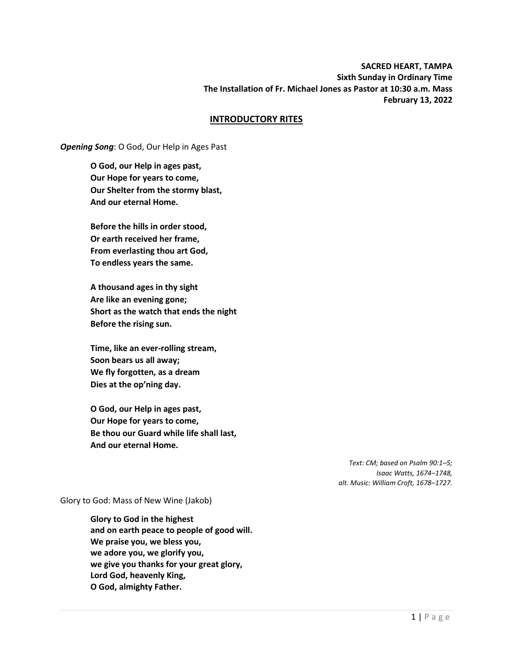### **SACRED HEART, TAMPA Sixth Sunday in Ordinary Time The Installation of Fr. Michael Jones as Pastor at 10:30 a.m. Mass February 13, 2022**

#### **INTRODUCTORY RITES**

*Opening Song*: O God, Our Help in Ages Past

**O God, our Help in ages past, Our Hope for years to come, Our Shelter from the stormy blast, And our eternal Home.**

**Before the hills in order stood, Or earth received her frame, From everlasting thou art God, To endless years the same.**

**A thousand ages in thy sight Are like an evening gone; Short as the watch that ends the night Before the rising sun.**

**Time, like an ever-rolling stream, Soon bears us all away; We fly forgotten, as a dream Dies at the op'ning day.**

**O God, our Help in ages past, Our Hope for years to come, Be thou our Guard while life shall last, And our eternal Home.**

> *Text: CM; based on Psalm 90:1–5; Isaac Watts, 1674–1748, alt. Music: William Croft, 1678–1727.*

Glory to God: Mass of New Wine (Jakob)

**Glory to God in the highest and on earth peace to people of good will. We praise you, we bless you, we adore you, we glorify you, we give you thanks for your great glory, Lord God, heavenly King, O God, almighty Father.**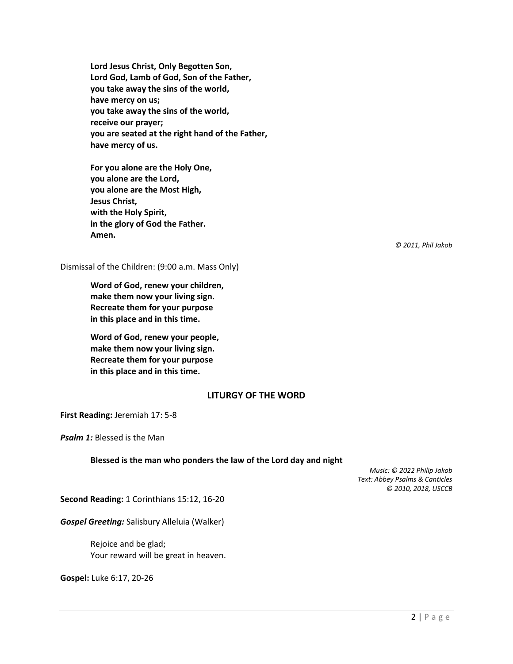**Lord Jesus Christ, Only Begotten Son, Lord God, Lamb of God, Son of the Father, you take away the sins of the world, have mercy on us; you take away the sins of the world, receive our prayer; you are seated at the right hand of the Father, have mercy of us.**

**For you alone are the Holy One, you alone are the Lord, you alone are the Most High, Jesus Christ, with the Holy Spirit, in the glory of God the Father. Amen.**

*© 2011, Phil Jakob*

Dismissal of the Children: (9:00 a.m. Mass Only)

**Word of God, renew your children, make them now your living sign. Recreate them for your purpose in this place and in this time.**

**Word of God, renew your people, make them now your living sign. Recreate them for your purpose in this place and in this time.**

#### **LITURGY OF THE WORD**

**First Reading:** Jeremiah 17: 5-8

*Psalm 1:* Blessed is the Man

#### **Blessed is the man who ponders the law of the Lord day and night**

*Music: © 2022 Philip Jakob Text: Abbey Psalms & Canticles © 2010, 2018, USCCB*

**Second Reading:** 1 Corinthians 15:12, 16-20

*Gospel Greeting:* Salisbury Alleluia (Walker)

Rejoice and be glad; Your reward will be great in heaven.

**Gospel:** Luke 6:17, 20-26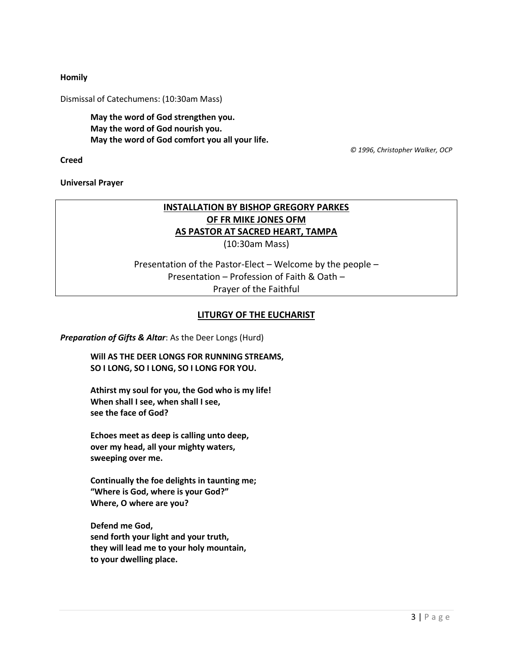#### **Homily**

Dismissal of Catechumens: (10:30am Mass)

**May the word of God strengthen you. May the word of God nourish you. May the word of God comfort you all your life.**

 *© 1996, Christopher Walker, OCP*

**Creed**

**Universal Prayer**

# **INSTALLATION BY BISHOP GREGORY PARKES OF FR MIKE JONES OFM AS PASTOR AT SACRED HEART, TAMPA**

(10:30am Mass)

Presentation of the Pastor-Elect – Welcome by the people – Presentation – Profession of Faith & Oath – Prayer of the Faithful

#### **LITURGY OF THE EUCHARIST**

*Preparation of Gifts & Altar*: As the Deer Longs (Hurd)

**Will AS THE DEER LONGS FOR RUNNING STREAMS, SO I LONG, SO I LONG, SO I LONG FOR YOU.**

**Athirst my soul for you, the God who is my life! When shall I see, when shall I see, see the face of God?**

**Echoes meet as deep is calling unto deep, over my head, all your mighty waters, sweeping over me.**

**Continually the foe delights in taunting me; "Where is God, where is your God?" Where, O where are you?**

**Defend me God, send forth your light and your truth, they will lead me to your holy mountain, to your dwelling place.**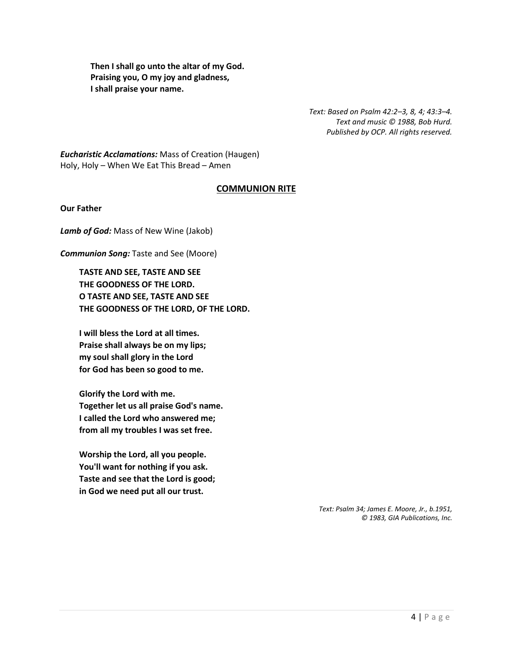**Then I shall go unto the altar of my God. Praising you, O my joy and gladness, I shall praise your name.**

> *Text: Based on Psalm 42:2–3, 8, 4; 43:3–4. Text and music © 1988, Bob Hurd. Published by OCP. All rights reserved.*

*Eucharistic Acclamations:* Mass of Creation (Haugen) Holy, Holy – When We Eat This Bread – Amen

## **COMMUNION RITE**

**Our Father**

*Lamb of God:* Mass of New Wine (Jakob)

*Communion Song:* Taste and See (Moore)

**TASTE AND SEE, TASTE AND SEE THE GOODNESS OF THE LORD. O TASTE AND SEE, TASTE AND SEE THE GOODNESS OF THE LORD, OF THE LORD.**

**I will bless the Lord at all times. Praise shall always be on my lips; my soul shall glory in the Lord for God has been so good to me.**

**Glorify the Lord with me. Together let us all praise God's name. I called the Lord who answered me; from all my troubles I was set free.**

**Worship the Lord, all you people. You'll want for nothing if you ask. Taste and see that the Lord is good; in God we need put all our trust.**

> *Text: Psalm 34; James E. Moore, Jr., b.1951, © 1983, GIA Publications, Inc.*